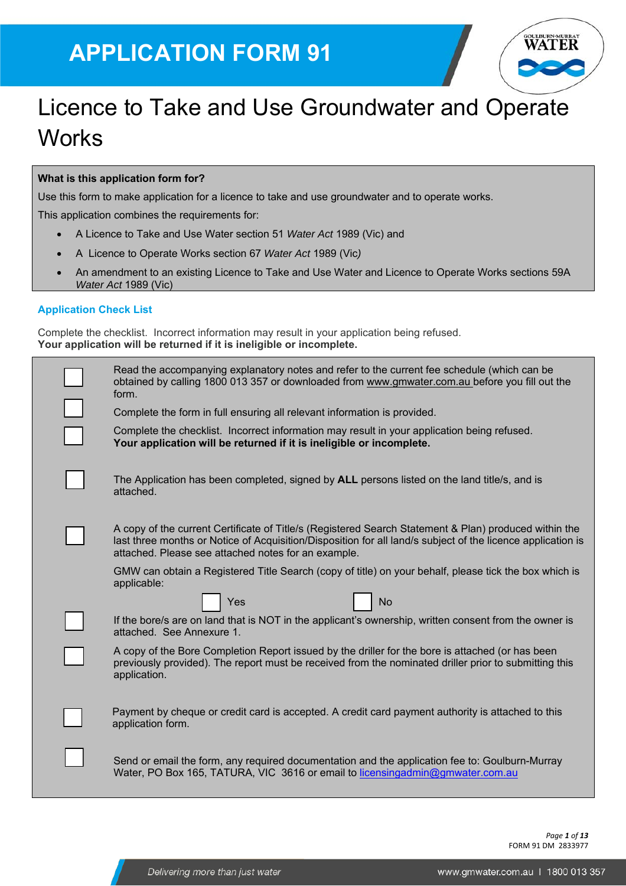# **APPLICATION FORM 91**



# Licence to Take and Use Groundwater and Operate **Works**

#### **What is this application form for?**

Use this form to make application for a licence to take and use groundwater and to operate works.

This application combines the requirements for:

- A Licence to Take and Use Water section 51 *Water Act* 1989 (Vic) and
- A Licence to Operate Works section 67 *Water Act* 1989 (Vic*)*
- An amendment to an existing Licence to Take and Use Water and Licence to Operate Works sections 59A *Water Act* 1989 (Vic)

#### **Application Check List**

Complete the checklist. Incorrect information may result in your application being refused. **Your application will be returned if it is ineligible or incomplete.** 

| Read the accompanying explanatory notes and refer to the current fee schedule (which can be<br>obtained by calling 1800 013 357 or downloaded from www.gmwater.com.au before you fill out the<br>form.                                                                      |
|-----------------------------------------------------------------------------------------------------------------------------------------------------------------------------------------------------------------------------------------------------------------------------|
| Complete the form in full ensuring all relevant information is provided.                                                                                                                                                                                                    |
| Complete the checklist. Incorrect information may result in your application being refused.<br>Your application will be returned if it is ineligible or incomplete.                                                                                                         |
| The Application has been completed, signed by ALL persons listed on the land title/s, and is<br>attached.                                                                                                                                                                   |
| A copy of the current Certificate of Title/s (Registered Search Statement & Plan) produced within the<br>last three months or Notice of Acquisition/Disposition for all land/s subject of the licence application is<br>attached. Please see attached notes for an example. |
| GMW can obtain a Registered Title Search (copy of title) on your behalf, please tick the box which is<br>applicable:                                                                                                                                                        |
| Yes<br>No                                                                                                                                                                                                                                                                   |
| If the bore/s are on land that is NOT in the applicant's ownership, written consent from the owner is<br>attached. See Annexure 1.                                                                                                                                          |
| A copy of the Bore Completion Report issued by the driller for the bore is attached (or has been<br>previously provided). The report must be received from the nominated driller prior to submitting this<br>application.                                                   |
| Payment by cheque or credit card is accepted. A credit card payment authority is attached to this<br>application form.                                                                                                                                                      |
| Send or email the form, any required documentation and the application fee to: Goulburn-Murray<br>Water, PO Box 165, TATURA, VIC 3616 or email to licensingadmin@gmwater.com.au                                                                                             |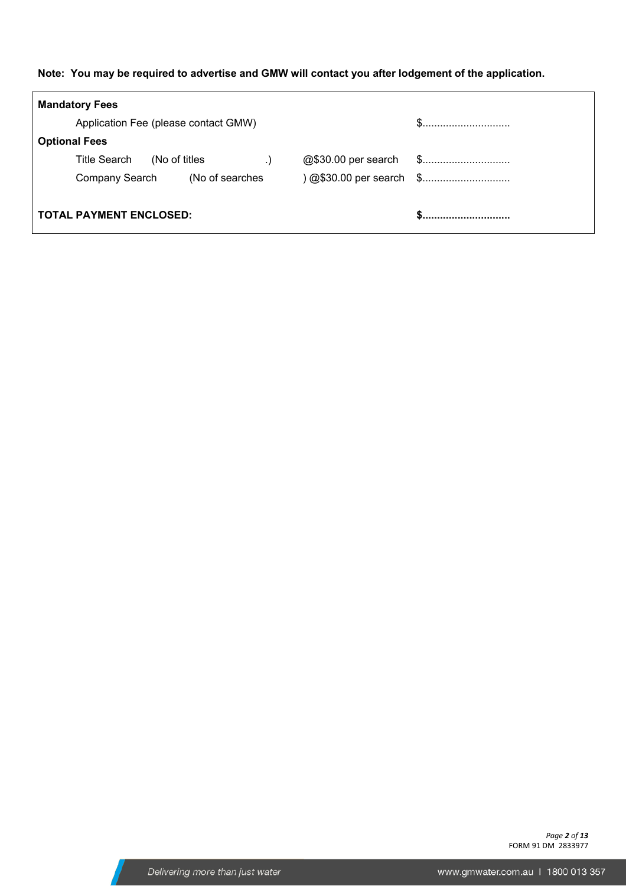#### **Note: You may be required to advertise and GMW will contact you after lodgement of the application.**

| <b>Mandatory Fees</b>                |                          |  |
|--------------------------------------|--------------------------|--|
| Application Fee (please contact GMW) |                          |  |
| <b>Optional Fees</b>                 |                          |  |
| Title Search<br>(No of titles        |                          |  |
| (No of searches<br>Company Search    | ) @\$30.00 per search \$ |  |
|                                      |                          |  |
| <b>TOTAL PAYMENT ENCLOSED:</b>       |                          |  |

*Page 2 of 13*  FORM 91 DM 2833977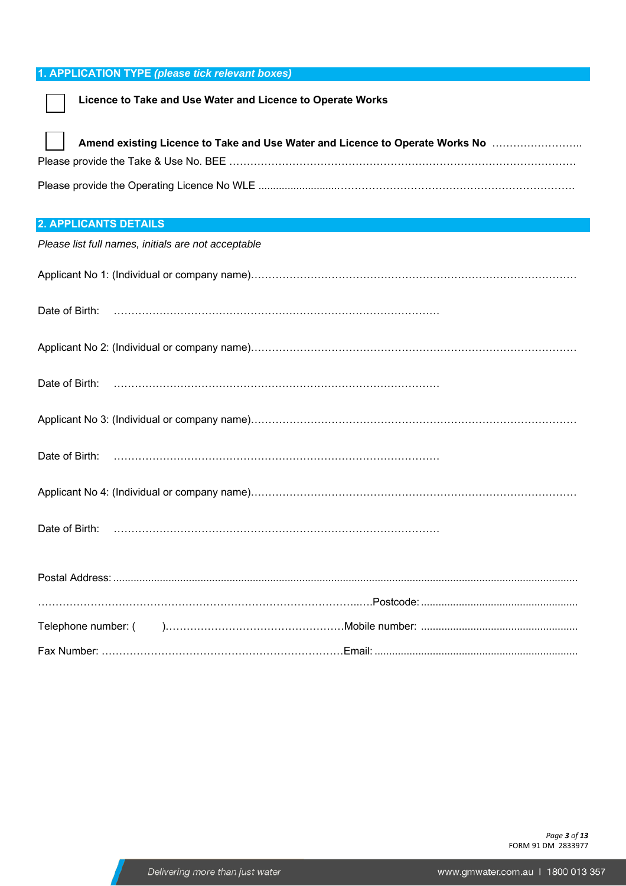#### **1. APPLICATION TYPE** *(please tick relevant boxes)*

#### **Licence to Take and Use Water and Licence to Operate Works**

| $\mathbf{1}$ | Amend existing Licence to Take and Use Water and Licence to Operate Works No |
|--------------|------------------------------------------------------------------------------|
|              |                                                                              |
|              |                                                                              |

#### **2. APPLICANTS DETAILS**

| Please list full names, initials are not acceptable |  |
|-----------------------------------------------------|--|
|                                                     |  |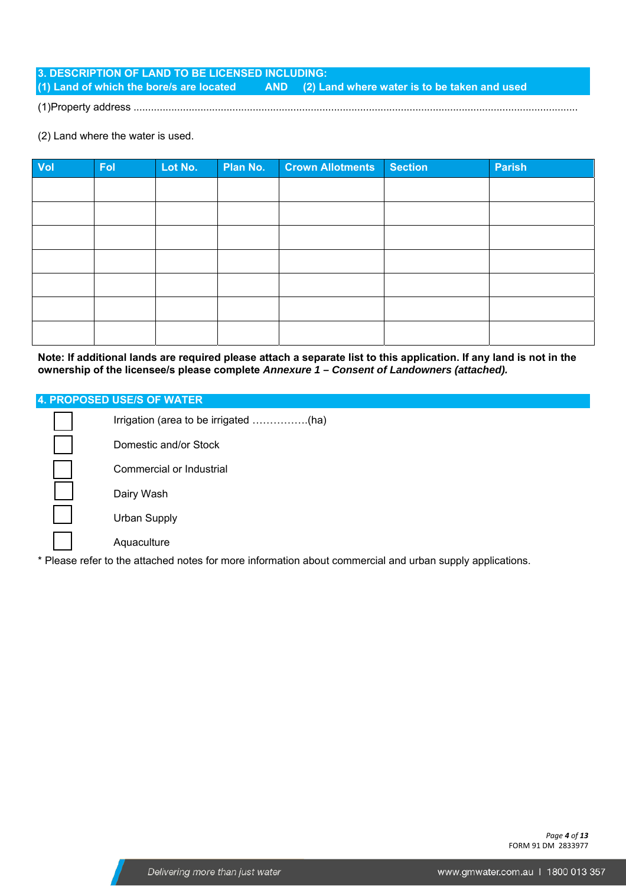**3. DESCRIPTION OF LAND TO BE LICENSED INCLUDING: (1) Land of which the bore/s are located AND (2) Land where water is to be taken and used** 

(1)Property address .........................................................................................................................................................

(2) Land where the water is used.

| Vol | Fol | Lot No. | Plan No. | <b>Crown Allotments</b> | Section | <b>Parish</b> |
|-----|-----|---------|----------|-------------------------|---------|---------------|
|     |     |         |          |                         |         |               |
|     |     |         |          |                         |         |               |
|     |     |         |          |                         |         |               |
|     |     |         |          |                         |         |               |
|     |     |         |          |                         |         |               |
|     |     |         |          |                         |         |               |
|     |     |         |          |                         |         |               |

**Note: If additional lands are required please attach a separate list to this application. If any land is not in the ownership of the licensee/s please complete** *Annexure 1 – Consent of Landowners (attached).* 

#### **4. PROPOSED USE/S OF WATER**

| Domestic and/or Stock                                                                                     |
|-----------------------------------------------------------------------------------------------------------|
| Commercial or Industrial                                                                                  |
| Dairy Wash                                                                                                |
| Urban Supply                                                                                              |
| Aquaculture                                                                                               |
| * Please refer to the attached notes for more information about commercial and urban supply applications. |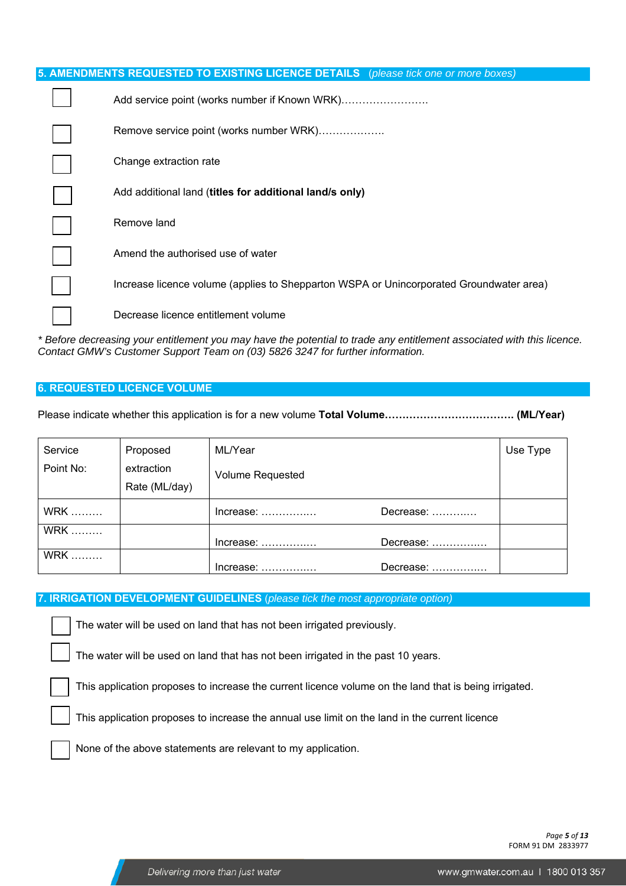|  | 5. AMENDMENTS REQUESTED TO EXISTING LICENCE DETAILS (please tick one or more boxes)     |
|--|-----------------------------------------------------------------------------------------|
|  |                                                                                         |
|  | Remove service point (works number WRK)                                                 |
|  | Change extraction rate                                                                  |
|  | Add additional land (titles for additional land/s only)                                 |
|  | Remove land                                                                             |
|  | Amend the authorised use of water                                                       |
|  | Increase licence volume (applies to Shepparton WSPA or Unincorporated Groundwater area) |
|  | Decrease licence entitlement volume                                                     |

*\* Before decreasing your entitlement you may have the potential to trade any entitlement associated with this licence. Contact GMW's Customer Support Team on (03) 5826 3247 for further information.*

#### **6. REQUESTED LICENCE VOLUME**

Please indicate whether this application is for a new volume **Total Volume………………………………. (ML/Year)** 

| Service    | Proposed                    | ML/Year                                 |           | Use Type |
|------------|-----------------------------|-----------------------------------------|-----------|----------|
| Point No:  | extraction<br>Rate (ML/day) | <b>Volume Requested</b>                 |           |          |
| <b>WRK</b> |                             | $Increase: \ldots \ldots \ldots$        | Decrease: |          |
| <b>WRK</b> |                             | $Increase: \ldots \ldots \ldots \ldots$ | Decrease: |          |
| <b>WRK</b> |                             | Increase:                               | Decrease: |          |

#### **7. IRRIGATION DEVELOPMENT GUIDELINES** (*please tick the most appropriate option)*

The water will be used on land that has not been irrigated previously.

The water will be used on land that has not been irrigated in the past 10 years.

This application proposes to increase the current licence volume on the land that is being irrigated.

This application proposes to increase the annual use limit on the land in the current licence

None of the above statements are relevant to my application.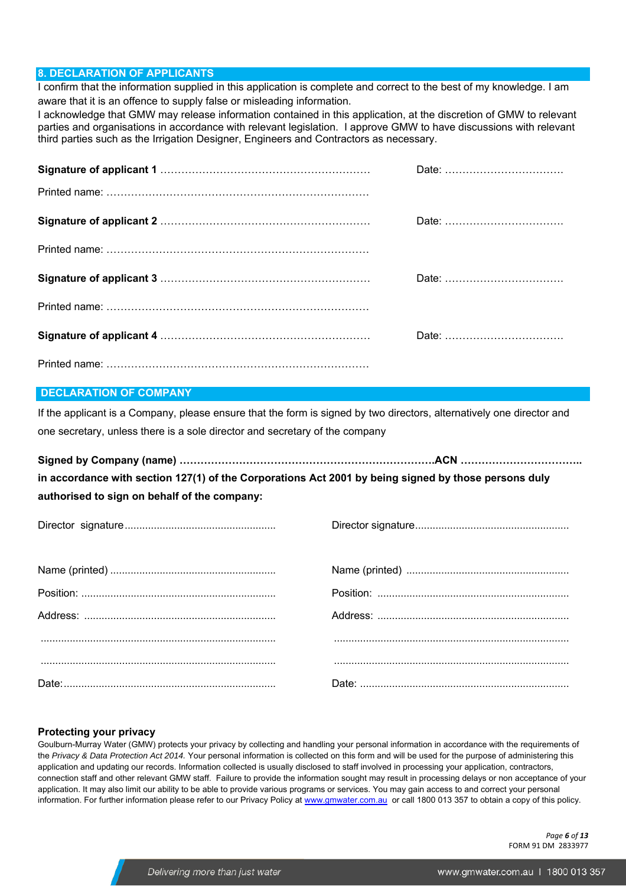#### **8. DECLARATION OF APPLICANTS**

I confirm that the information supplied in this application is complete and correct to the best of my knowledge. I am aware that it is an offence to supply false or misleading information.

I acknowledge that GMW may release information contained in this application, at the discretion of GMW to relevant parties and organisations in accordance with relevant legislation. I approve GMW to have discussions with relevant third parties such as the Irrigation Designer, Engineers and Contractors as necessary.

| Date: |
|-------|
|       |
|       |
|       |
|       |
|       |
|       |
|       |

#### **DECLARATION OF COMPANY**

If the applicant is a Company, please ensure that the form is signed by two directors, alternatively one director and one secretary, unless there is a sole director and secretary of the company

**Signed by Company (name) ……………………………………………………………….ACN …………………………….. in accordance with section 127(1) of the Corporations Act 2001 by being signed by those persons duly authorised to sign on behalf of the company:** 

#### **Protecting your privacy**

Goulburn-Murray Water (GMW) protects your privacy by collecting and handling your personal information in accordance with the requirements of the *Privacy & Data Protection Act 2014.* Your personal information is collected on this form and will be used for the purpose of administering this application and updating our records. Information collected is usually disclosed to staff involved in processing your application, contractors, connection staff and other relevant GMW staff. Failure to provide the information sought may result in processing delays or non acceptance of your application. It may also limit our ability to be able to provide various programs or services. You may gain access to and correct your personal information. For further information please refer to our Privacy Policy at www.gmwater.com.au or call 1800 013 357 to obtain a copy of this policy.

> *Page 6 of 13*  FORM 91 DM 2833977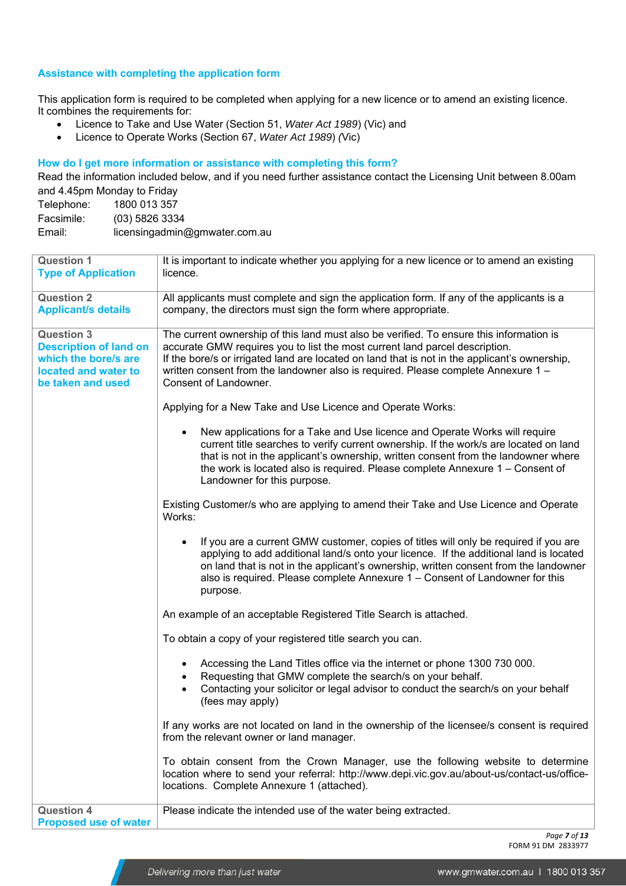#### **Assistance with completing the application form**

This application form is required to be completed when applying for a new licence or to amend an existing licence. It combines the requirements for:

- Licence to Take and Use Water (Section 51, *Water Act 1989*) (Vic) and
- Licence to Operate Works (Section 67, *Water Act 1989*) *(*Vic)

#### **How do I get more information or assistance with completing this form?**

Read the information included below, and if you need further assistance contact the Licensing Unit between 8.00am and 4.45pm Monday to Friday

| Telephone: | 1800 013 357                  |
|------------|-------------------------------|
| Facsimile: | (03) 5826 3334                |
| Email:     | licensingadmin@gmwater.com.au |

| <b>Question 1</b><br><b>Type of Application</b>                                                                         | It is important to indicate whether you applying for a new licence or to amend an existing<br>licence.                                                                                                                                                                                                                                                                                 |  |  |  |
|-------------------------------------------------------------------------------------------------------------------------|----------------------------------------------------------------------------------------------------------------------------------------------------------------------------------------------------------------------------------------------------------------------------------------------------------------------------------------------------------------------------------------|--|--|--|
| <b>Question 2</b><br><b>Applicant/s details</b>                                                                         | All applicants must complete and sign the application form. If any of the applicants is a<br>company, the directors must sign the form where appropriate.                                                                                                                                                                                                                              |  |  |  |
| <b>Question 3</b><br><b>Description of land on</b><br>which the bore/s are<br>located and water to<br>be taken and used | The current ownership of this land must also be verified. To ensure this information is<br>accurate GMW requires you to list the most current land parcel description.<br>If the bore/s or irrigated land are located on land that is not in the applicant's ownership,<br>written consent from the landowner also is required. Please complete Annexure 1 -<br>Consent of Landowner.  |  |  |  |
|                                                                                                                         | Applying for a New Take and Use Licence and Operate Works:                                                                                                                                                                                                                                                                                                                             |  |  |  |
|                                                                                                                         | New applications for a Take and Use licence and Operate Works will require<br>$\bullet$<br>current title searches to verify current ownership. If the work/s are located on land<br>that is not in the applicant's ownership, written consent from the landowner where<br>the work is located also is required. Please complete Annexure 1 – Consent of<br>Landowner for this purpose. |  |  |  |
|                                                                                                                         | Existing Customer/s who are applying to amend their Take and Use Licence and Operate<br>Works:                                                                                                                                                                                                                                                                                         |  |  |  |
|                                                                                                                         | If you are a current GMW customer, copies of titles will only be required if you are<br>applying to add additional land/s onto your licence. If the additional land is located<br>on land that is not in the applicant's ownership, written consent from the landowner<br>also is required. Please complete Annexure 1 - Consent of Landowner for this<br>purpose.                     |  |  |  |
|                                                                                                                         | An example of an acceptable Registered Title Search is attached.                                                                                                                                                                                                                                                                                                                       |  |  |  |
|                                                                                                                         | To obtain a copy of your registered title search you can.                                                                                                                                                                                                                                                                                                                              |  |  |  |
|                                                                                                                         | Accessing the Land Titles office via the internet or phone 1300 730 000.<br>Requesting that GMW complete the search/s on your behalf.<br>Contacting your solicitor or legal advisor to conduct the search/s on your behalf<br>(fees may apply)                                                                                                                                         |  |  |  |
|                                                                                                                         | If any works are not located on land in the ownership of the licensee/s consent is required<br>from the relevant owner or land manager.                                                                                                                                                                                                                                                |  |  |  |
|                                                                                                                         | To obtain consent from the Crown Manager, use the following website to determine<br>location where to send your referral: http://www.depi.vic.gov.au/about-us/contact-us/office-<br>locations. Complete Annexure 1 (attached).                                                                                                                                                         |  |  |  |
| <b>Question 4</b><br><b>Proposed use of water</b>                                                                       | Please indicate the intended use of the water being extracted.                                                                                                                                                                                                                                                                                                                         |  |  |  |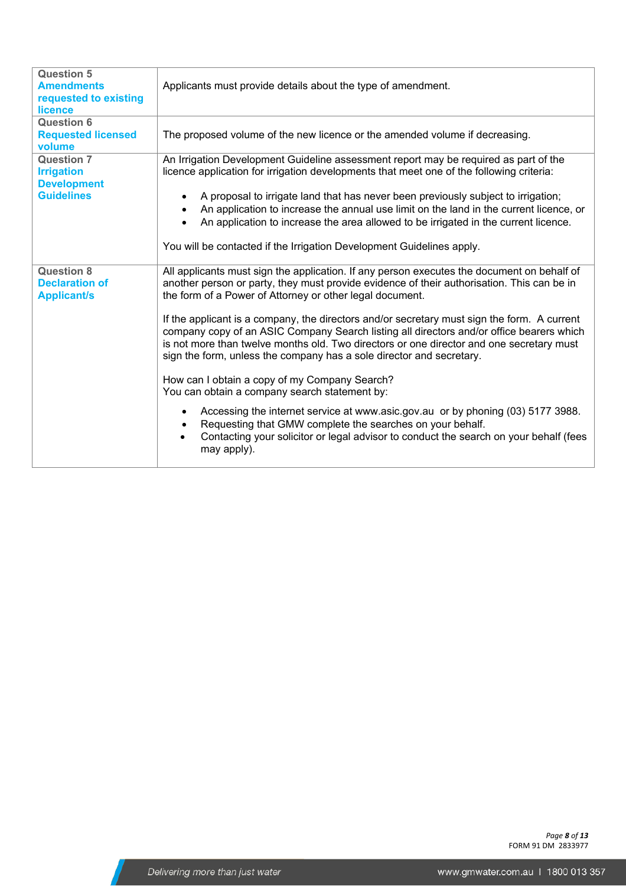| <b>Question 5</b><br><b>Amendments</b><br>requested to existing<br>licence | Applicants must provide details about the type of amendment.                                                                                                                                                                                                                                                                                                |
|----------------------------------------------------------------------------|-------------------------------------------------------------------------------------------------------------------------------------------------------------------------------------------------------------------------------------------------------------------------------------------------------------------------------------------------------------|
| <b>Question 6</b><br><b>Requested licensed</b><br>volume                   | The proposed volume of the new licence or the amended volume if decreasing.                                                                                                                                                                                                                                                                                 |
| <b>Question 7</b><br><b>Irrigation</b><br><b>Development</b>               | An Irrigation Development Guideline assessment report may be required as part of the<br>licence application for irrigation developments that meet one of the following criteria:                                                                                                                                                                            |
| <b>Guidelines</b>                                                          | A proposal to irrigate land that has never been previously subject to irrigation;<br>An application to increase the annual use limit on the land in the current licence, or<br>An application to increase the area allowed to be irrigated in the current licence.<br>$\bullet$                                                                             |
|                                                                            | You will be contacted if the Irrigation Development Guidelines apply.                                                                                                                                                                                                                                                                                       |
| <b>Question 8</b><br><b>Declaration of</b><br><b>Applicant/s</b>           | All applicants must sign the application. If any person executes the document on behalf of<br>another person or party, they must provide evidence of their authorisation. This can be in<br>the form of a Power of Attorney or other legal document.                                                                                                        |
|                                                                            | If the applicant is a company, the directors and/or secretary must sign the form. A current<br>company copy of an ASIC Company Search listing all directors and/or office bearers which<br>is not more than twelve months old. Two directors or one director and one secretary must<br>sign the form, unless the company has a sole director and secretary. |
|                                                                            | How can I obtain a copy of my Company Search?<br>You can obtain a company search statement by:                                                                                                                                                                                                                                                              |
|                                                                            | Accessing the internet service at www.asic.gov.au or by phoning (03) 5177 3988.<br>Requesting that GMW complete the searches on your behalf.<br>Contacting your solicitor or legal advisor to conduct the search on your behalf (fees<br>$\bullet$<br>may apply).                                                                                           |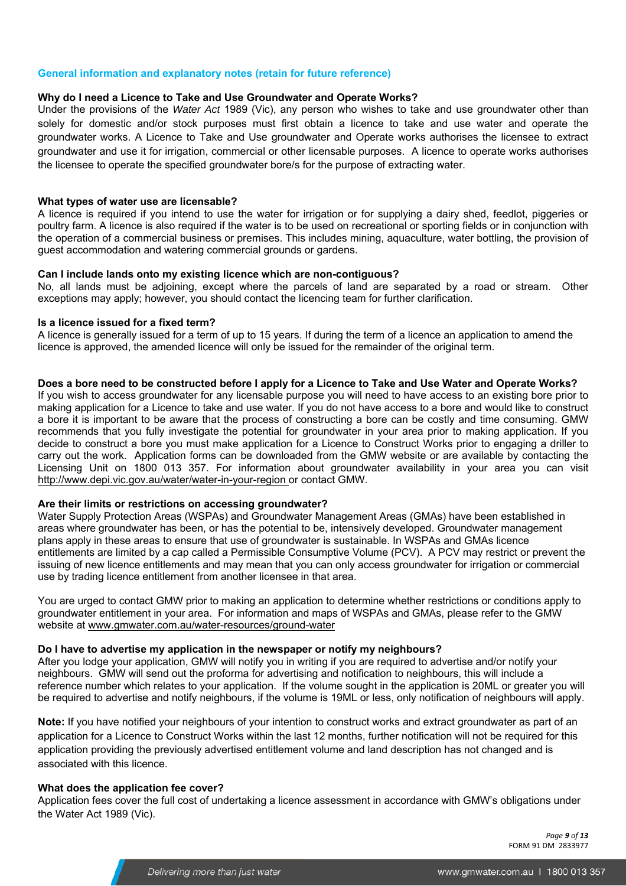#### **General information and explanatory notes (retain for future reference)**

#### **Why do I need a Licence to Take and Use Groundwater and Operate Works?**

Under the provisions of the *Water Act* 1989 (Vic), any person who wishes to take and use groundwater other than solely for domestic and/or stock purposes must first obtain a licence to take and use water and operate the groundwater works. A Licence to Take and Use groundwater and Operate works authorises the licensee to extract groundwater and use it for irrigation, commercial or other licensable purposes. A licence to operate works authorises the licensee to operate the specified groundwater bore/s for the purpose of extracting water.

#### **What types of water use are licensable?**

A licence is required if you intend to use the water for irrigation or for supplying a dairy shed, feedlot, piggeries or poultry farm. A licence is also required if the water is to be used on recreational or sporting fields or in conjunction with the operation of a commercial business or premises. This includes mining, aquaculture, water bottling, the provision of guest accommodation and watering commercial grounds or gardens.

#### **Can I include lands onto my existing licence which are non-contiguous?**

No, all lands must be adjoining, except where the parcels of land are separated by a road or stream. Other exceptions may apply; however, you should contact the licencing team for further clarification.

#### **Is a licence issued for a fixed term?**

A licence is generally issued for a term of up to 15 years. If during the term of a licence an application to amend the licence is approved, the amended licence will only be issued for the remainder of the original term.

#### **Does a bore need to be constructed before I apply for a Licence to Take and Use Water and Operate Works?**

If you wish to access groundwater for any licensable purpose you will need to have access to an existing bore prior to making application for a Licence to take and use water. If you do not have access to a bore and would like to construct a bore it is important to be aware that the process of constructing a bore can be costly and time consuming. GMW recommends that you fully investigate the potential for groundwater in your area prior to making application. If you decide to construct a bore you must make application for a Licence to Construct Works prior to engaging a driller to carry out the work. Application forms can be downloaded from the GMW website or are available by contacting the Licensing Unit on 1800 013 357. For information about groundwater availability in your area you can visit http://www.depi.vic.gov.au/water/water-in-your-region or contact GMW.

#### **Are their limits or restrictions on accessing groundwater?**

Water Supply Protection Areas (WSPAs) and Groundwater Management Areas (GMAs) have been established in areas where groundwater has been, or has the potential to be, intensively developed. Groundwater management plans apply in these areas to ensure that use of groundwater is sustainable. In WSPAs and GMAs licence entitlements are limited by a cap called a Permissible Consumptive Volume (PCV). A PCV may restrict or prevent the issuing of new licence entitlements and may mean that you can only access groundwater for irrigation or commercial use by trading licence entitlement from another licensee in that area.

You are urged to contact GMW prior to making an application to determine whether restrictions or conditions apply to groundwater entitlement in your area. For information and maps of WSPAs and GMAs, please refer to the GMW website at www.gmwater.com.au/water-resources/ground-water

#### **Do I have to advertise my application in the newspaper or notify my neighbours?**

After you lodge your application, GMW will notify you in writing if you are required to advertise and/or notify your neighbours. GMW will send out the proforma for advertising and notification to neighbours, this will include a reference number which relates to your application. If the volume sought in the application is 20ML or greater you will be required to advertise and notify neighbours, if the volume is 19ML or less, only notification of neighbours will apply.

**Note:** If you have notified your neighbours of your intention to construct works and extract groundwater as part of an application for a Licence to Construct Works within the last 12 months, further notification will not be required for this application providing the previously advertised entitlement volume and land description has not changed and is associated with this licence.

#### **What does the application fee cover?**

Application fees cover the full cost of undertaking a licence assessment in accordance with GMW's obligations under the Water Act 1989 (Vic).

> *Page 9 of 13*  FORM 91 DM 2833977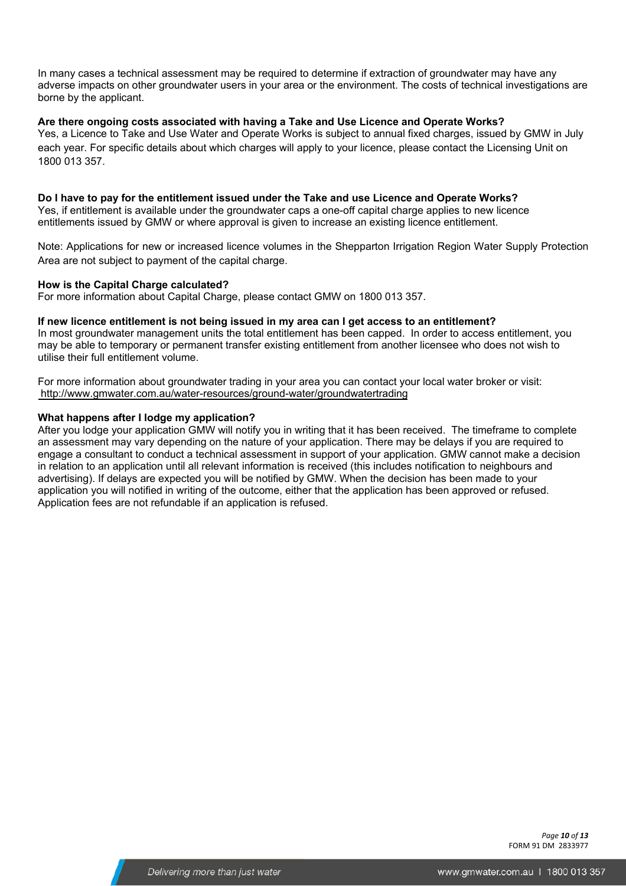In many cases a technical assessment may be required to determine if extraction of groundwater may have any adverse impacts on other groundwater users in your area or the environment. The costs of technical investigations are borne by the applicant.

#### **Are there ongoing costs associated with having a Take and Use Licence and Operate Works?**

Yes, a Licence to Take and Use Water and Operate Works is subject to annual fixed charges, issued by GMW in July each year. For specific details about which charges will apply to your licence, please contact the Licensing Unit on 1800 013 357.

**Do I have to pay for the entitlement issued under the Take and use Licence and Operate Works?**  Yes, if entitlement is available under the groundwater caps a one-off capital charge applies to new licence entitlements issued by GMW or where approval is given to increase an existing licence entitlement.

Note: Applications for new or increased licence volumes in the Shepparton Irrigation Region Water Supply Protection Area are not subject to payment of the capital charge.

#### **How is the Capital Charge calculated?**

For more information about Capital Charge, please contact GMW on 1800 013 357.

#### **If new licence entitlement is not being issued in my area can I get access to an entitlement?**

In most groundwater management units the total entitlement has been capped. In order to access entitlement, you may be able to temporary or permanent transfer existing entitlement from another licensee who does not wish to utilise their full entitlement volume.

For more information about groundwater trading in your area you can contact your local water broker or visit: http://www.gmwater.com.au/water-resources/ground-water/groundwatertrading

#### **What happens after I lodge my application?**

After you lodge your application GMW will notify you in writing that it has been received. The timeframe to complete an assessment may vary depending on the nature of your application. There may be delays if you are required to engage a consultant to conduct a technical assessment in support of your application. GMW cannot make a decision in relation to an application until all relevant information is received (this includes notification to neighbours and advertising). If delays are expected you will be notified by GMW. When the decision has been made to your application you will notified in writing of the outcome, either that the application has been approved or refused. Application fees are not refundable if an application is refused.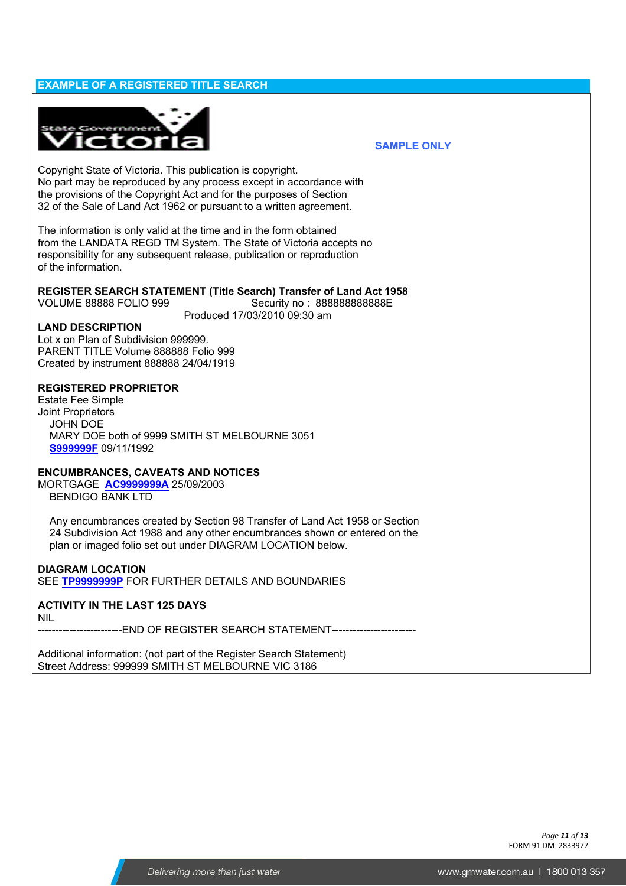#### **EXAMPLE OF A REGISTERED TITLE SEARCH**



#### **SAMPLE ONLY**

Copyright State of Victoria. This publication is copyright. No part may be reproduced by any process except in accordance with the provisions of the Copyright Act and for the purposes of Section 32 of the Sale of Land Act 1962 or pursuant to a written agreement.

The information is only valid at the time and in the form obtained from the LANDATA REGD TM System. The State of Victoria accepts no responsibility for any subsequent release, publication or reproduction of the information.

#### **REGISTER SEARCH STATEMENT (Title Search) Transfer of Land Act 1958**

VOLUME 88888 FOLIO 999 Security no : 888888888888E Produced 17/03/2010 09:30 am

#### **LAND DESCRIPTION**

Lot x on Plan of Subdivision 999999. PARENT TITLE Volume 888888 Folio 999 Created by instrument 888888 24/04/1919

#### **REGISTERED PROPRIETOR**

Estate Fee Simple Joint Proprietors JOHN DOE MARY DOE both of 9999 SMITH ST MELBOURNE 3051 **S999999F** 09/11/1992

#### **ENCUMBRANCES, CAVEATS AND NOTICES**

MORTGAGE **AC9999999A** 25/09/2003 BENDIGO BANK LTD

 Any encumbrances created by Section 98 Transfer of Land Act 1958 or Section 24 Subdivision Act 1988 and any other encumbrances shown or entered on the plan or imaged folio set out under DIAGRAM LOCATION below.

#### **DIAGRAM LOCATION**

SEE **TP9999999P** FOR FURTHER DETAILS AND BOUNDARIES

#### **ACTIVITY IN THE LAST 125 DAYS**

NIL

-------FND OF REGISTER SEARCH STATEMENT------

Additional information: (not part of the Register Search Statement) Street Address: 999999 SMITH ST MELBOURNE VIC 3186

> *Page 11 of 13*  FORM 91 DM 2833977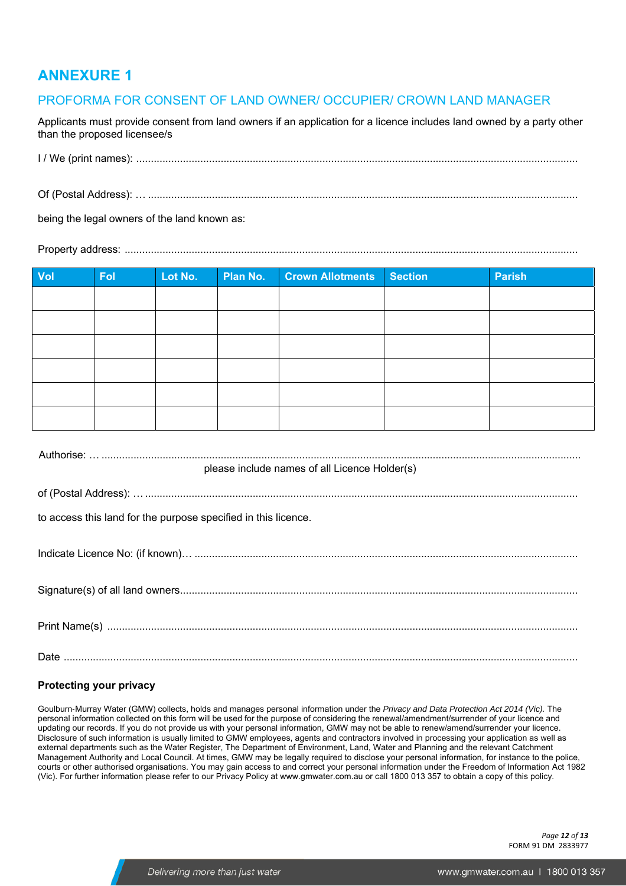## **ANNEXURE 1**

#### PROFORMA FOR CONSENT OF LAND OWNER/ OCCUPIER/ CROWN LAND MANAGER

Applicants must provide consent from land owners if an application for a licence includes land owned by a party other than the proposed licensee/s

I / We (print names): ........................................................................................................................................................

Of (Postal Address): … ....................................................................................................................................................

being the legal owners of the land known as:

Property address: ............................................................................................................................................................

| Vol | <b>Fol</b> | Lot No. | Plan No. | <b>Crown Allotments</b> | <b>Section</b> | Parish |
|-----|------------|---------|----------|-------------------------|----------------|--------|
|     |            |         |          |                         |                |        |
|     |            |         |          |                         |                |        |
|     |            |         |          |                         |                |        |
|     |            |         |          |                         |                |        |
|     |            |         |          |                         |                |        |
|     |            |         |          |                         |                |        |

| please include names of all Licence Holder(s)                  |
|----------------------------------------------------------------|
|                                                                |
| to access this land for the purpose specified in this licence. |
|                                                                |
|                                                                |
|                                                                |
|                                                                |
|                                                                |
|                                                                |
|                                                                |

#### **Protecting your privacy**

Goulburn‐Murray Water (GMW) collects, holds and manages personal information under the *Privacy and Data Protection Act 2014 (Vic).* The personal information collected on this form will be used for the purpose of considering the renewal/amendment/surrender of your licence and updating our records. If you do not provide us with your personal information, GMW may not be able to renew/amend/surrender your licence. Disclosure of such information is usually limited to GMW employees, agents and contractors involved in processing your application as well as external departments such as the Water Register, The Department of Environment, Land, Water and Planning and the relevant Catchment Management Authority and Local Council. At times, GMW may be legally required to disclose your personal information, for instance to the police, courts or other authorised organisations. You may gain access to and correct your personal information under the Freedom of Information Act 1982 (Vic). For further information please refer to our Privacy Policy at www.gmwater.com.au or call 1800 013 357 to obtain a copy of this policy.

> *Page 12 of 13*  FORM 91 DM 2833977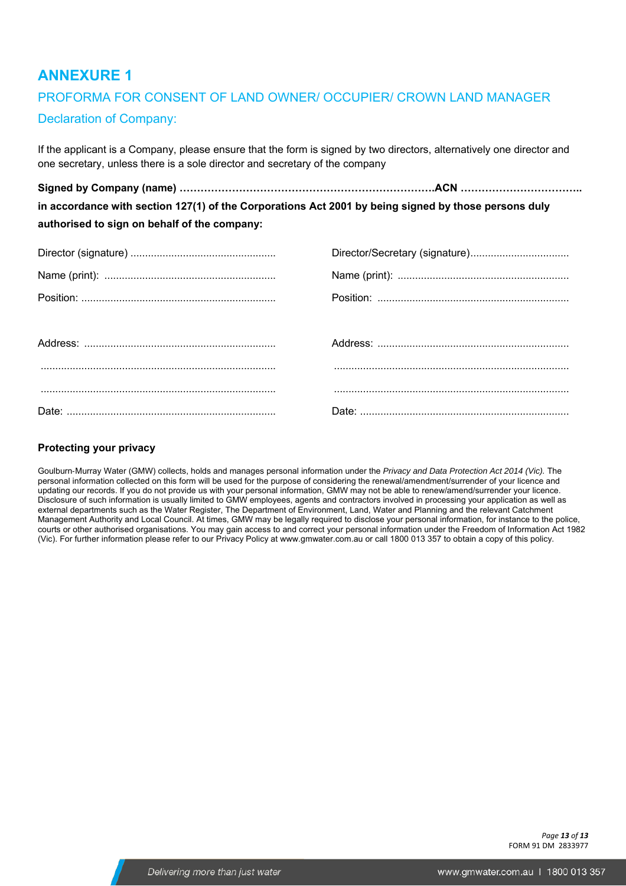# **ANNEXURE 1**

## PROFORMA FOR CONSENT OF LAND OWNER/ OCCUPIER/ CROWN LAND MANAGER Declaration of Company:

If the applicant is a Company, please ensure that the form is signed by two directors, alternatively one director and one secretary, unless there is a sole director and secretary of the company

**Signed by Company (name) ……………………………………………………………….ACN …………………………….. in accordance with section 127(1) of the Corporations Act 2001 by being signed by those persons duly authorised to sign on behalf of the company:** 

#### **Protecting your privacy**

Goulburn‐Murray Water (GMW) collects, holds and manages personal information under the *Privacy and Data Protection Act 2014 (Vic).* The personal information collected on this form will be used for the purpose of considering the renewal/amendment/surrender of your licence and updating our records. If you do not provide us with your personal information, GMW may not be able to renew/amend/surrender your licence. Disclosure of such information is usually limited to GMW employees, agents and contractors involved in processing your application as well as external departments such as the Water Register, The Department of Environment, Land, Water and Planning and the relevant Catchment Management Authority and Local Council. At times, GMW may be legally required to disclose your personal information, for instance to the police, courts or other authorised organisations. You may gain access to and correct your personal information under the Freedom of Information Act 1982 (Vic). For further information please refer to our Privacy Policy at www.gmwater.com.au or call 1800 013 357 to obtain a copy of this policy.

> *Page 13 of 13*  FORM 91 DM 2833977